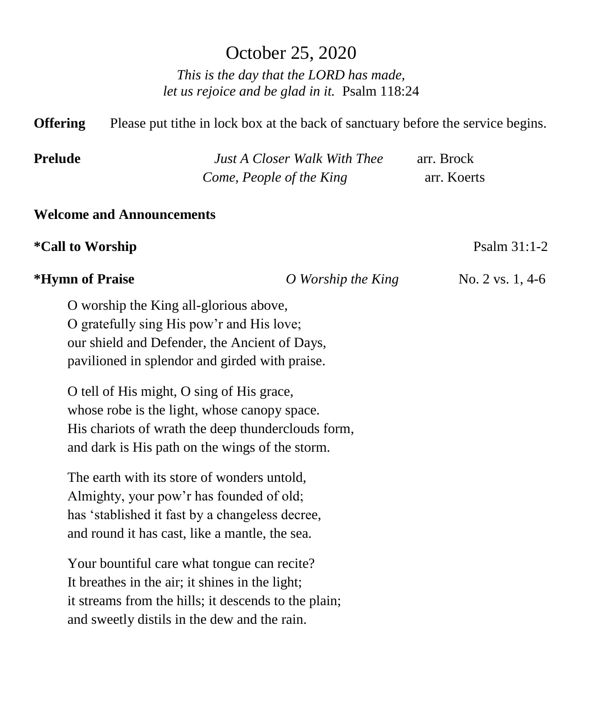# October 25, 2020

*This is the day that the LORD has made, let us rejoice and be glad in it.* Psalm 118:24

**Offering** Please put tithe in lock box at the back of sanctuary before the service begins.

| <b>Prelude</b> | <b>Just A Closer Walk With Thee</b> | arr. Brock  |
|----------------|-------------------------------------|-------------|
|                | Come, People of the King            | arr. Koerts |

### **Welcome and Announcements**

### **\*Call to Worship** Psalm 31:1-2

### **\*Hymn of Praise** *O Worship the King* No. 2 vs. 1, 4-6

O worship the King all-glorious above, O gratefully sing His pow'r and His love; our shield and Defender, the Ancient of Days, pavilioned in splendor and girded with praise.

O tell of His might, O sing of His grace, whose robe is the light, whose canopy space. His chariots of wrath the deep thunderclouds form, and dark is His path on the wings of the storm.

The earth with its store of wonders untold, Almighty, your pow'r has founded of old; has 'stablished it fast by a changeless decree, and round it has cast, like a mantle, the sea.

Your bountiful care what tongue can recite? It breathes in the air; it shines in the light; it streams from the hills; it descends to the plain; and sweetly distils in the dew and the rain.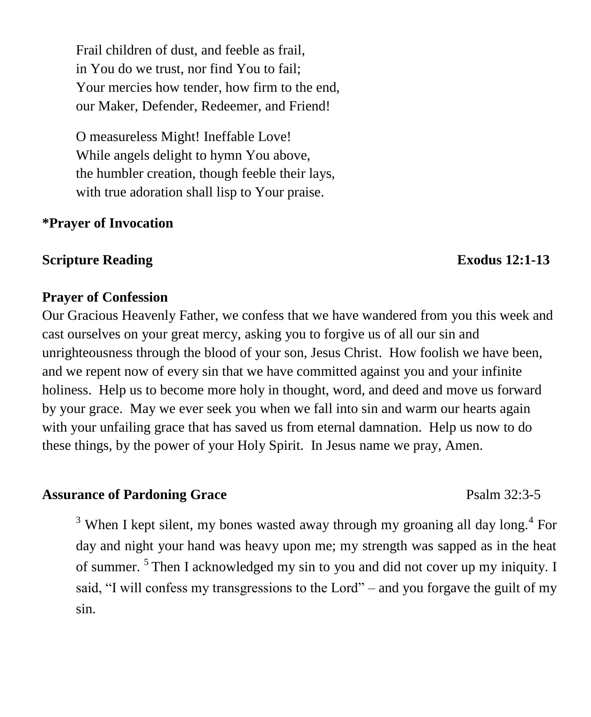Frail children of dust, and feeble as frail, in You do we trust, nor find You to fail; Your mercies how tender, how firm to the end, our Maker, Defender, Redeemer, and Friend!

O measureless Might! Ineffable Love! While angels delight to hymn You above, the humbler creation, though feeble their lays, with true adoration shall lisp to Your praise.

## **\*Prayer of Invocation**

### **Scripture Reading Exodus** 12:1-13

## **Prayer of Confession**

Our Gracious Heavenly Father, we confess that we have wandered from you this week and cast ourselves on your great mercy, asking you to forgive us of all our sin and unrighteousness through the blood of your son, Jesus Christ. How foolish we have been, and we repent now of every sin that we have committed against you and your infinite holiness. Help us to become more holy in thought, word, and deed and move us forward by your grace. May we ever seek you when we fall into sin and warm our hearts again with your unfailing grace that has saved us from eternal damnation. Help us now to do these things, by the power of your Holy Spirit. In Jesus name we pray, Amen.

# Assurance of Pardoning Grace **Psalm 32:3-5**

 $3$  When I kept silent, my bones wasted away through my groaning all day long.<sup>4</sup> For day and night your hand was heavy upon me; my strength was sapped as in the heat of summer.<sup>5</sup> Then I acknowledged my sin to you and did not cover up my iniquity. I said, "I will confess my transgressions to the Lord" – and you forgave the guilt of my sin.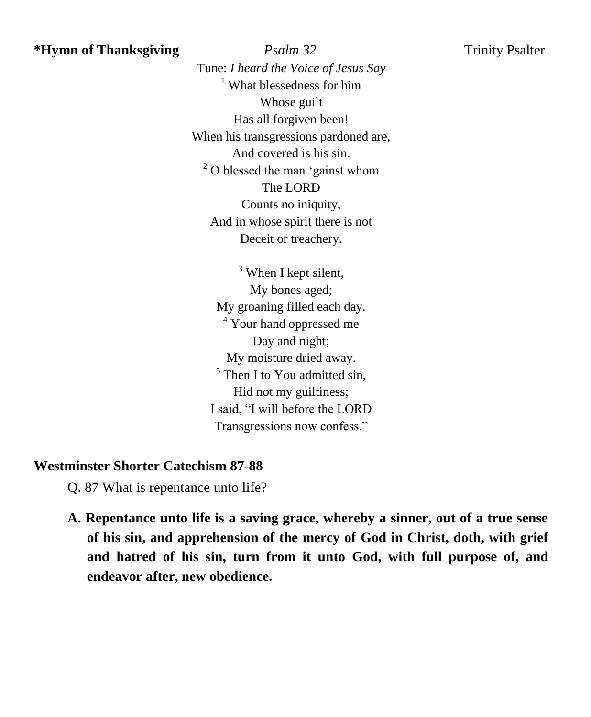**\*Hymn of Thanksgiving** *Psalm 32* Trinity Psalter Tune: *I heard the Voice of Jesus Say*  $<sup>1</sup>$  What blessedness for him</sup> Whose guilt Has all forgiven been! When his transgressions pardoned are, And covered is his sin. <sup>2</sup> O blessed the man 'gainst whom The LORD Counts no iniquity, And in whose spirit there is not Deceit or treachery.

> $3$  When I kept silent, My bones aged; My groaning filled each day. <sup>4</sup> Your hand oppressed me Day and night; My moisture dried away.  $<sup>5</sup>$  Then I to You admitted sin,</sup> Hid not my guiltiness; I said, "I will before the LORD Transgressions now confess."

# **Westminster Shorter Catechism 87-88**

Q. 87 What is repentance unto life?

**A. Repentance unto life is a saving grace, whereby a sinner, out of a true sense of his sin, and apprehension of the mercy of God in Christ, doth, with grief and hatred of his sin, turn from it unto God, with full purpose of, and endeavor after, new obedience.**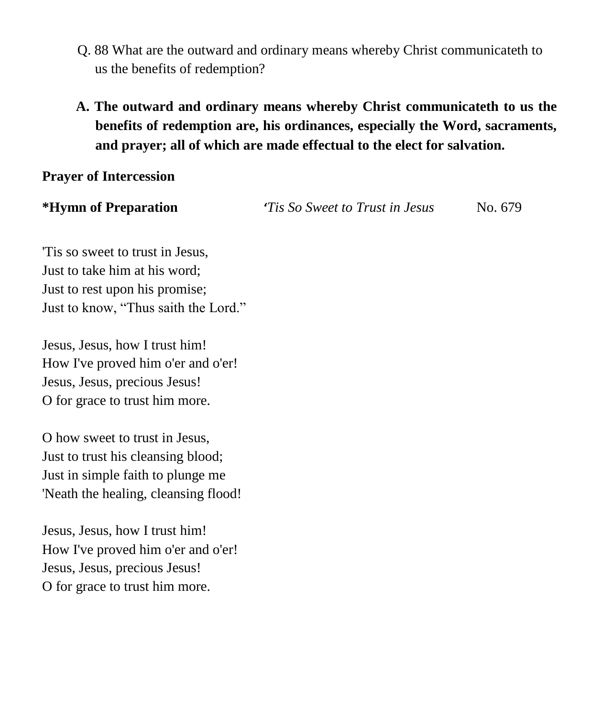- Q. 88 What are the outward and ordinary means whereby Christ communicateth to us the benefits of redemption?
- **A. The outward and ordinary means whereby Christ communicateth to us the benefits of redemption are, his ordinances, especially the Word, sacraments, and prayer; all of which are made effectual to the elect for salvation.**

## **Prayer of Intercession**

**\*Hymn of Preparation '***Tis So Sweet to Trust in Jesus* No. 679

'Tis so sweet to trust in Jesus, Just to take him at his word; Just to rest upon his promise; Just to know, "Thus saith the Lord."

Jesus, Jesus, how I trust him! How I've proved him o'er and o'er! Jesus, Jesus, precious Jesus! O for grace to trust him more.

O how sweet to trust in Jesus, Just to trust his cleansing blood; Just in simple faith to plunge me 'Neath the healing, cleansing flood!

Jesus, Jesus, how I trust him! How I've proved him o'er and o'er! Jesus, Jesus, precious Jesus! O for grace to trust him more.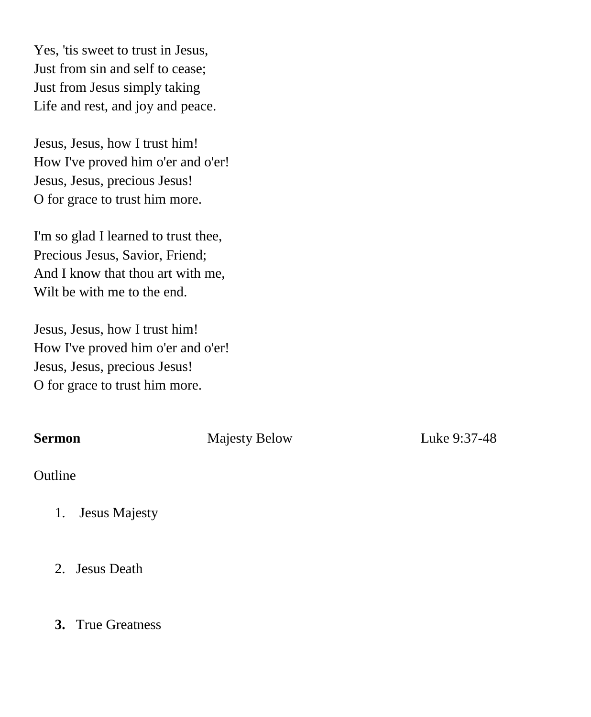Yes, 'tis sweet to trust in Jesus, Just from sin and self to cease; Just from Jesus simply taking Life and rest, and joy and peace.

Jesus, Jesus, how I trust him! How I've proved him o'er and o'er! Jesus, Jesus, precious Jesus! O for grace to trust him more.

I'm so glad I learned to trust thee, Precious Jesus, Savior, Friend; And I know that thou art with me, Wilt be with me to the end.

Jesus, Jesus, how I trust him! How I've proved him o'er and o'er! Jesus, Jesus, precious Jesus! O for grace to trust him more.

**Sermon Majesty Below** Luke 9:37-48

Outline

- 1. Jesus Majesty
- 2. Jesus Death

# **3.** True Greatness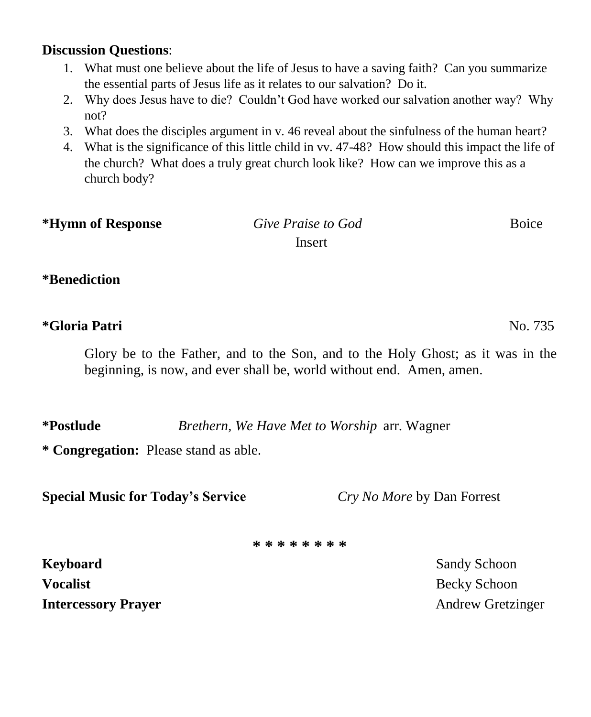### **Discussion Questions**:

- 1. What must one believe about the life of Jesus to have a saving faith? Can you summarize the essential parts of Jesus life as it relates to our salvation? Do it.
- 2. Why does Jesus have to die? Couldn't God have worked our salvation another way? Why not?
- 3. What does the disciples argument in v. 46 reveal about the sinfulness of the human heart?
- 4. What is the significance of this little child in vv. 47-48? How should this impact the life of the church? What does a truly great church look like? How can we improve this as a church body?

| *Hymn of Response | Give Praise to God | <b>Boice</b> |
|-------------------|--------------------|--------------|
|                   | Insert             |              |

## **\*Benediction**

# **\*Gloria Patri** No. 735

Glory be to the Father, and to the Son, and to the Holy Ghost; as it was in the beginning, is now, and ever shall be, world without end. Amen, amen.

**\*Postlude** *Brethern, We Have Met to Worship* arr. Wagner

**\* Congregation:** Please stand as able.

**Special Music for Today's Service** *Cry No More* by Dan Forrest

**\* \* \* \* \* \* \* \***

**Keyboard** Sandy Schoon **Sandy Schoon Vocalist Becky Schoon Intercessory Prayer** Andrew Gretzinger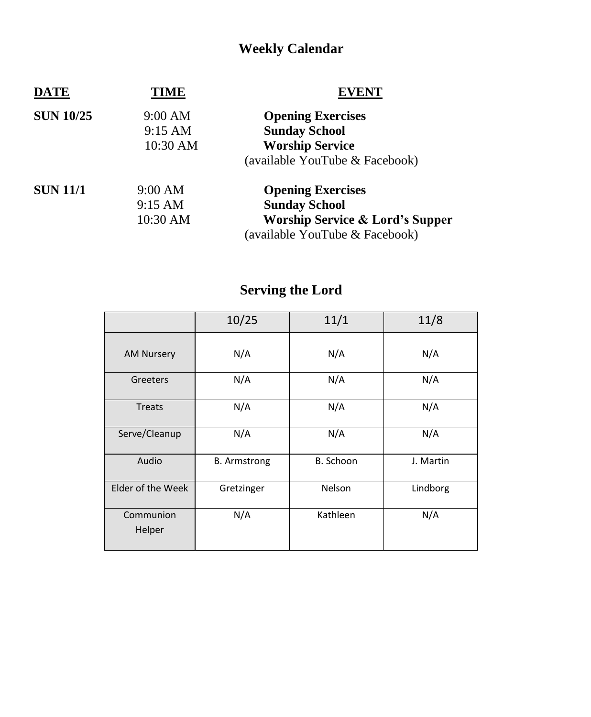# **Weekly Calendar**

| <b>DATE</b>      | TIME              | EVENT                                      |  |
|------------------|-------------------|--------------------------------------------|--|
| <b>SUN 10/25</b> | 9:00 AM           | <b>Opening Exercises</b>                   |  |
|                  | $9:15 \text{ AM}$ | <b>Sunday School</b>                       |  |
|                  | 10:30 AM          | <b>Worship Service</b>                     |  |
|                  |                   | (available YouTube & Facebook)             |  |
| <b>SUN 11/1</b>  | 9:00 AM           | <b>Opening Exercises</b>                   |  |
|                  | $9:15 \text{ AM}$ | <b>Sunday School</b>                       |  |
|                  | 10:30 AM          | <b>Worship Service &amp; Lord's Supper</b> |  |
|                  |                   | (available YouTube & Facebook)             |  |

# **Serving the Lord**

|                     | 10/25               | 11/1      | 11/8      |
|---------------------|---------------------|-----------|-----------|
| <b>AM Nursery</b>   | N/A                 | N/A       | N/A       |
| Greeters            | N/A                 | N/A       | N/A       |
| <b>Treats</b>       | N/A                 | N/A       | N/A       |
| Serve/Cleanup       | N/A                 | N/A       | N/A       |
| Audio               | <b>B.</b> Armstrong | B. Schoon | J. Martin |
| Elder of the Week   | Gretzinger          | Nelson    | Lindborg  |
| Communion<br>Helper | N/A                 | Kathleen  | N/A       |